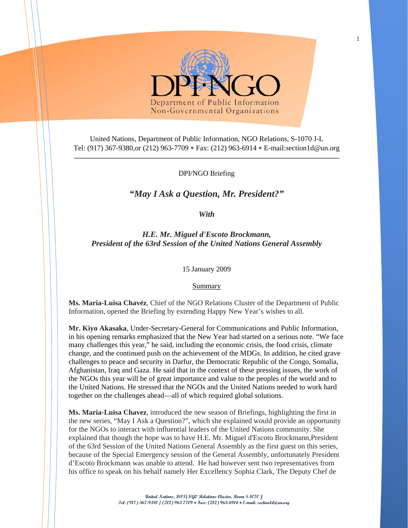

United Nations, Department of Public Information, NGO Relations, S-1070 J-L Tel: (917) 367-9380,or (212) 963-7709 ∗ Fax: (212) 963-6914 ∗ E-mail:section1d@un.org

## DPI/NGO Briefing

## *"May I Ask a Question, Mr. President?"*

*With* 

*H.E. Mr. Miguel d'Escoto Brockmann, President of the 63rd Session of the United Nations General Assembly* 

15 January 2009

**Summary** 

**Ms. Maria-Luisa Chavéz**, Chief of the NGO Relations Cluster of the Department of Public Information, opened the Briefing by extending Happy New Year's wishes to all.

**Mr. Kiyo Akasaka**, Under-Secretary-General for Communications and Public Information, in his opening remarks emphasized that the New Year had started on a serious note. "We face many challenges this year," he said, including the economic crisis, the food crisis, climate change, and the continued push on the achievement of the MDGs. In addition, he cited grave challenges to peace and security in Darfur, the Democratic Republic of the Congo, Somalia, Afghanistan, Iraq and Gaza. He said that in the context of these pressing issues, the work of the NGOs this year will be of great importance and value to the peoples of the world and to the United Nations. He stressed that the NGOs and the United Nations needed to work hard together on the challenges ahead—all of which required global solutions.

**Ms. Maria-Luisa Chavez**, introduced the new season of Briefings, highlighting the first in the new series, "May I Ask a Question?", which she explained would provide an opportunity for the NGOs to interact with influential leaders of the United Nations community. She explained that though the hope was to have H.E. Mr. Miguel d'Escoto Brockmann*,*President of the 63rd Session of the United Nations General Assembly as the first guest on this series, because of the Special Emergency session of the General Assembly, unfortunately President d'Escoto Brockmann was unable to attend. He had however sent two representatives from his office to speak on his behalf namely Her Excellency Sophia Clark, The Deputy Chef de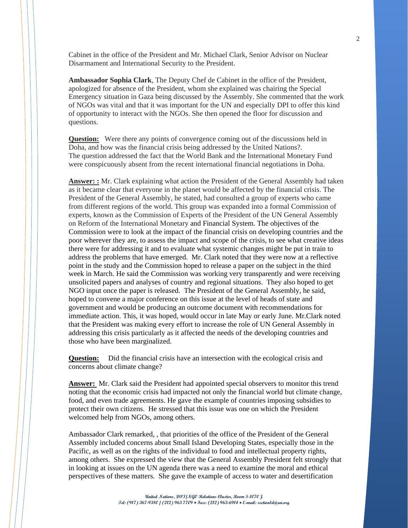Cabinet in the office of the President and Mr. Michael Clark, Senior Advisor on Nuclear Disarmament and International Security to the President.

**Ambassador Sophia Clark**, The Deputy Chef de Cabinet in the office of the President, apologized for absence of the President, whom she explained was chairing the Special Emergency situation in Gaza being discussed by the Assembly. She commented that the work of NGOs was vital and that it was important for the UN and especially DPI to offer this kind of opportunity to interact with the NGOs. She then opened the floor for discussion and questions.

**Question:** Were there any points of convergence coming out of the discussions held in Doha, and how was the financial crisis being addressed by the United Nations?. The question addressed the fact that the World Bank and the International Monetary Fund were conspicuously absent from the recent international financial negotiations in Doha.

**Answer: :** Mr. Clark explaining what action the President of the General Assembly had taken as it became clear that everyone in the planet would be affected by the financial crisis. The President of the General Assembly, he stated, had consulted a group of experts who came from different regions of the world. This group was expanded into a formal Commission of experts, known as the Commission of Experts of the President of the UN General Assembly on Reform of the International Monetary and Financial System. The objectives of the Commission were to look at the impact of the financial crisis on developing countries and the poor wherever they are, to assess the impact and scope of the crisis, to see what creative ideas there were for addressing it and to evaluate what systemic changes might be put in train to address the problems that have emerged. Mr. Clark noted that they were now at a reflective point in the study and the Commission hoped to release a paper on the subject in the third week in March. He said the Commission was working very transparently and were receiving unsolicited papers and analyses of country and regional situations. They also hoped to get NGO input once the paper is released. The President of the General Assembly, he said, hoped to convene a major conference on this issue at the level of heads of state and government and would be producing an outcome document with recommendations for immediate action. This, it was hoped, would occur in late May or early June. Mr.Clark noted that the President was making every effort to increase the role of UN General Assembly in addressing this crisis particularly as it affected the needs of the developing countries and those who have been marginalized.

**Question:** Did the financial crisis have an intersection with the ecological crisis and concerns about climate change?

**Answer:** Mr. Clark said the President had appointed special observers to monitor this trend noting that the economic crisis had impacted not only the financial world but climate change, food, and even trade agreements. He gave the example of countries imposing subsidies to protect their own citizens. He stressed that this issue was one on which the President welcomed help from NGOs, among others.

Ambassador Clark remarked, , that priorities of the office of the President of the General Assembly included concerns about Small Island Developing States, especially those in the Pacific, as well as on the rights of the individual to food and intellectual property rights, among others. She expressed the view that the General Assembly President felt strongly that in looking at issues on the UN agenda there was a need to examine the moral and ethical perspectives of these matters. She gave the example of access to water and desertification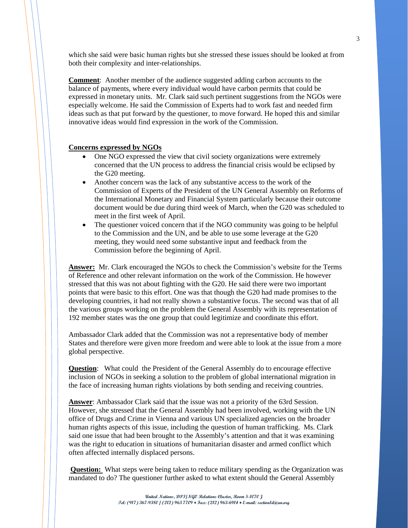which she said were basic human rights but she stressed these issues should be looked at from both their complexity and inter-relationships.

**Comment**: Another member of the audience suggested adding carbon accounts to the balance of payments, where every individual would have carbon permits that could be expressed in monetary units. Mr. Clark said such pertinent suggestions from the NGOs were especially welcome. He said the Commission of Experts had to work fast and needed firm ideas such as that put forward by the questioner, to move forward. He hoped this and similar innovative ideas would find expression in the work of the Commission.

## **Concerns expressed by NGOs**

- One NGO expressed the view that civil society organizations were extremely concerned that the UN process to address the financial crisis would be eclipsed by the G20 meeting.
- Another concern was the lack of any substantive access to the work of the Commission of Experts of the President of the UN General Assembly on Reforms of the International Monetary and Financial System particularly because their outcome document would be due during third week of March, when the G20 was scheduled to meet in the first week of April.
- The questioner voiced concern that if the NGO community was going to be helpful to the Commission and the UN, and be able to use some leverage at the G20 meeting, they would need some substantive input and feedback from the Commission before the beginning of April.

**Answer:** Mr. Clark encouraged the NGOs to check the Commission's website for the Terms of Reference and other relevant information on the work of the Commission. He however stressed that this was not about fighting with the G20. He said there were two important points that were basic to this effort. One was that though the G20 had made promises to the developing countries, it had not really shown a substantive focus. The second was that of all the various groups working on the problem the General Assembly with its representation of 192 member states was the one group that could legitimize and coordinate this effort.

Ambassador Clark added that the Commission was not a representative body of member States and therefore were given more freedom and were able to look at the issue from a more global perspective.

**Question**: What could the President of the General Assembly do to encourage effective inclusion of NGOs in seeking a solution to the problem of global international migration in the face of increasing human rights violations by both sending and receiving countries.

**Answer**: Ambassador Clark said that the issue was not a priority of the 63rd Session. However, she stressed that the General Assembly had been involved, working with the UN office of Drugs and Crime in Vienna and various UN specialized agencies on the broader human rights aspects of this issue, including the question of human trafficking. Ms. Clark said one issue that had been brought to the Assembly's attention and that it was examining was the right to education in situations of humanitarian disaster and armed conflict which often affected internally displaced persons.

**Question:** What steps were being taken to reduce military spending as the Organization was mandated to do? The questioner further asked to what extent should the General Assembly